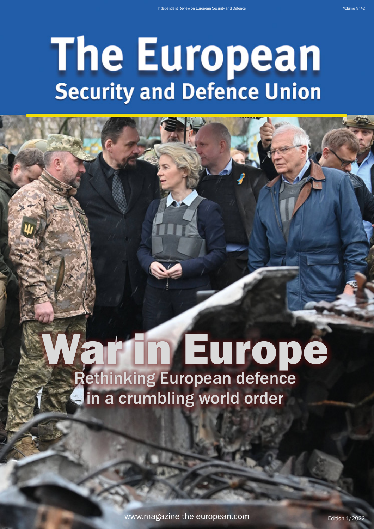## **The European**<br>Security and Defence Union

## ar in Europe Rethinking European defence  $\blacksquare$  in a crumbling world order